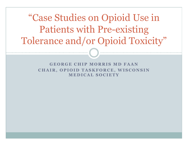"Case Studies on Opioid Use in Patients with Pre-existing Tolerance and/or Opioid Toxicity"

> **GEORGE CHIP MORRIS MD FAAN CHAIR, OPIOID TASKFORCE, WISCONSIN MEDICAL SOCIETY**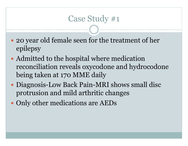#### Case Study #1

- 20 year old female seen for the treatment of her epilepsy
- Admitted to the hospital where medication reconciliation reveals oxycodone and hydrocodone being taken at 170 MME daily
- Diagnosis-Low Back Pain-MRI shows small disc protrusion and mild arthritic changes
- Only other medications are AEDs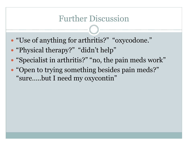### Further Discussion

- "Use of anything for arthritis?" "oxycodone."
- "Physical therapy?" "didn't help"
- "Specialist in arthritis?" "no, the pain meds work"
- "Open to trying something besides pain meds?" "sure…..but I need my oxycontin"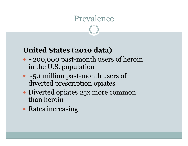## Prevalence

#### **United States (2010 data)**

- $\bullet$  ~200,000 past-month users of heroin in the U.S. population
- ~5.1 million past-month users of diverted prescription opiates
- Diverted opiates 25x more common than heroin
- Rates increasing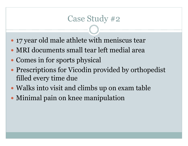#### Case Study #2

- 17 year old male athlete with meniscus tear
- MRI documents small tear left medial area
- Comes in for sports physical
- Prescriptions for Vicodin provided by orthopedist filled every time due
- Walks into visit and climbs up on exam table
- Minimal pain on knee manipulation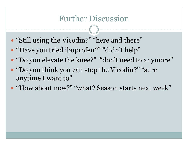#### Further Discussion

- "Still using the Vicodin?" "here and there"
- "Have you tried ibuprofen?" "didn't help"
- "Do you elevate the knee?" "don't need to anymore"
- "Do you think you can stop the Vicodin?" "sure" anytime I want to"
- "How about now?" "what? Season starts next week"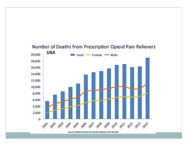

Source: National Center for Health Statistics, CDC Wonder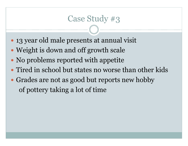#### Case Study #3

- 13 year old male presents at annual visit
- Weight is down and off growth scale
- No problems reported with appetite
- Tired in school but states no worse than other kids
- Grades are not as good but reports new hobby of pottery taking a lot of time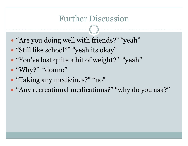## Further Discussion

- "Are you doing well with friends?" "yeah"
- "Still like school?" "yeah its okay"
- "You've lost quite a bit of weight?" "yeah"
- "Why?" "donno"
- "Taking any medicines?" "no"
- "Any recreational medications?" "why do you ask?"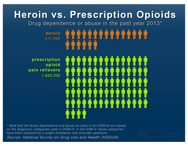# **Heroin vs. Prescription Opioids**

Drug dependence or abuse in the past year 2013\*

## heroin 517,000

prescription opioid pain relievers 1,900,000

\* Note that the terms dependence and abuse as used in the NSDUH are based on the diagnostic categories used in DSM-IV; in the DSM-V, those categories have been replaced by a single Substance Use Disorder spectrum. Source: National Survey on Drug Use and Health (NSDUH)